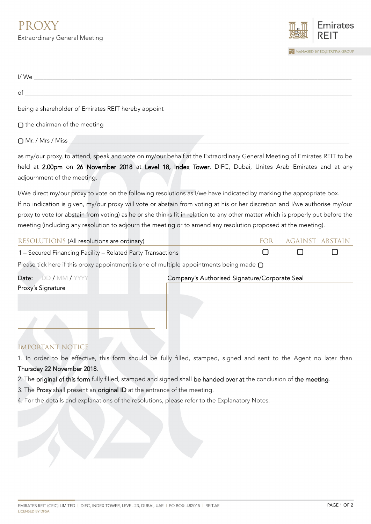

| I/We                                                                                                                            |            |                        |        |
|---------------------------------------------------------------------------------------------------------------------------------|------------|------------------------|--------|
| of                                                                                                                              |            |                        |        |
| being a shareholder of Emirates REIT hereby appoint                                                                             |            |                        |        |
| $\square$ the chairman of the meeting                                                                                           |            |                        |        |
| □ Mr. / Mrs / Miss                                                                                                              |            |                        |        |
| as my/our proxy, to attend, speak and vote on my/our behalf at the Extraordinary General Meeting of Emirates REIT to be         |            |                        |        |
| held at 2.00pm on 26 November 2018 at Level 18, Index Tower, DIFC, Dubai, Unites Arab Emirates and at any                       |            |                        |        |
| adjournment of the meeting.                                                                                                     |            |                        |        |
| I/We direct my/our proxy to vote on the following resolutions as I/we have indicated by marking the appropriate box.            |            |                        |        |
| If no indication is given, my/our proxy will vote or abstain from voting at his or her discretion and I/we authorise my/our     |            |                        |        |
| proxy to vote (or abstain from voting) as he or she thinks fit in relation to any other matter which is properly put before the |            |                        |        |
| meeting (including any resolution to adjourn the meeting or to amend any resolution proposed at the meeting).                   |            |                        |        |
| RESOLUTIONS (All resolutions are ordinary)                                                                                      | <b>FOR</b> | <b>AGAINST ABSTAIN</b> |        |
| 1 - Secured Financing Facility - Related Party Transactions                                                                     | $\Box$     | П                      | $\Box$ |
| Please tick here if this proxy appointment is one of multiple appointments being made $\square$                                 |            |                        |        |
| DD / MM / YYYY<br>Date:<br>Company's Authorised Signature/Corporate Seal                                                        |            |                        |        |
| Proxy's Signature                                                                                                               |            |                        |        |
|                                                                                                                                 |            |                        |        |
|                                                                                                                                 |            |                        |        |
|                                                                                                                                 |            |                        |        |

## IMPORTANT NOTICE

- 1. In order to be effective, this form should be fully filled, stamped, signed and sent to the Agent no later than Thursday 22 November 2018.
- 2. The original of this form fully filled, stamped and signed shall be handed over at the conclusion of the meeting.
- 3. The Proxy shall present an original ID at the entrance of the meeting.
- 4. For the details and explanations of the resolutions, please refer to the Explanatory Notes.